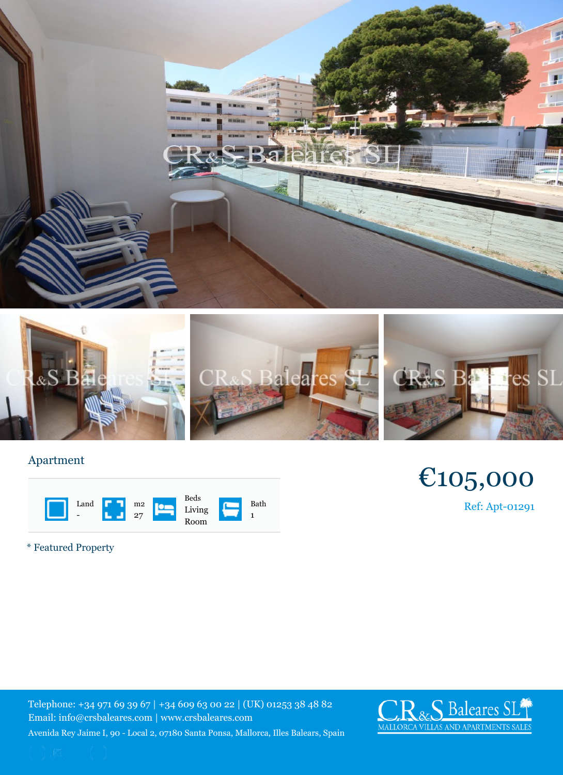## Apartment

|  | Land<br>$\blacksquare$ | m <sub>2</sub><br>27 | Beds<br>Living<br>Room | Bath |
|--|------------------------|----------------------|------------------------|------|
|--|------------------------|----------------------|------------------------|------|

\* Featured Property

Telephone: +34 971 69 39 67 | +34 609 63 00 22 | (UK) 012 Email: info@crsbaleares.com | www.crsbaleares.com Avenida Rey Jaime I, 90 - Local 2, 07180 Santa Ponsa, Mallorca, I

 $\overline{1}$